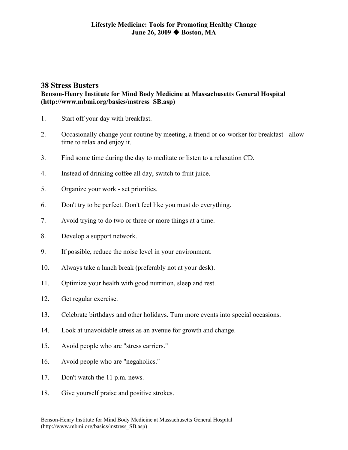## **38 Stress Busters**

## **Benson-Henry Institute for Mind Body Medicine at Massachusetts General Hospital (http://www.mbmi.org/basics/mstress\_SB.asp)**

- 1. Start off your day with breakfast.
- 2. Occasionally change your routine by meeting, a friend or co-worker for breakfast allow time to relax and enjoy it.
- 3. Find some time during the day to meditate or listen to a relaxation CD.
- 4. Instead of drinking coffee all day, switch to fruit juice.
- 5. Organize your work set priorities.
- 6. Don't try to be perfect. Don't feel like you must do everything.
- 7. Avoid trying to do two or three or more things at a time.
- 8. Develop a support network.
- 9. If possible, reduce the noise level in your environment.
- 10. Always take a lunch break (preferably not at your desk).
- 11. Optimize your health with good nutrition, sleep and rest.
- 12. Get regular exercise.
- 13. Celebrate birthdays and other holidays. Turn more events into special occasions.
- 14. Look at unavoidable stress as an avenue for growth and change.
- 15. Avoid people who are "stress carriers."
- 16. Avoid people who are "negaholics."
- 17. Don't watch the 11 p.m. news.
- 18. Give yourself praise and positive strokes.